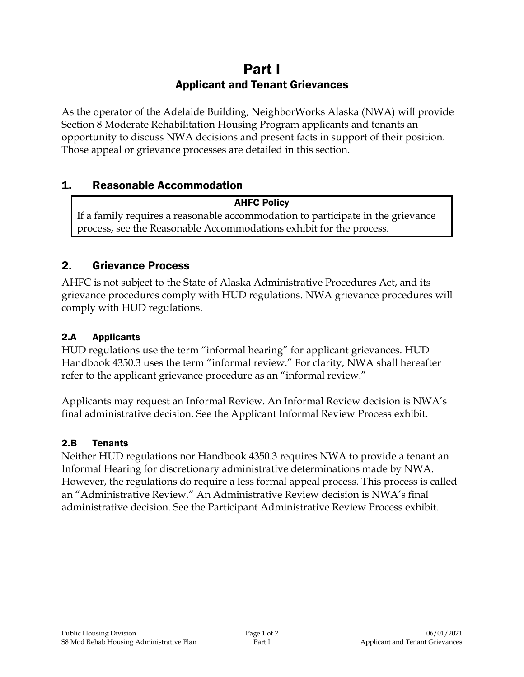# Part I Applicant and Tenant Grievances

As the operator of the Adelaide Building, NeighborWorks Alaska (NWA) will provide Section 8 Moderate Rehabilitation Housing Program applicants and tenants an opportunity to discuss NWA decisions and present facts in support of their position. Those appeal or grievance processes are detailed in this section.

## 1. Reasonable Accommodation

#### AHFC Policy

If a family requires a reasonable accommodation to participate in the grievance process, see the Reasonable Accommodations exhibit for the process.

## 2. Grievance Process

AHFC is not subject to the State of Alaska Administrative Procedures Act, and its grievance procedures comply with HUD regulations. NWA grievance procedures will comply with HUD regulations.

### 2.A Applicants

HUD regulations use the term "informal hearing" for applicant grievances. HUD Handbook 4350.3 uses the term "informal review." For clarity, NWA shall hereafter refer to the applicant grievance procedure as an "informal review."

Applicants may request an Informal Review. An Informal Review decision is NWA's final administrative decision. See the Applicant Informal Review Process exhibit.

#### 2.B Tenants

Neither HUD regulations nor Handbook 4350.3 requires NWA to provide a tenant an Informal Hearing for discretionary administrative determinations made by NWA. However, the regulations do require a less formal appeal process. This process is called an "Administrative Review." An Administrative Review decision is NWA's final administrative decision. See the Participant Administrative Review Process exhibit.